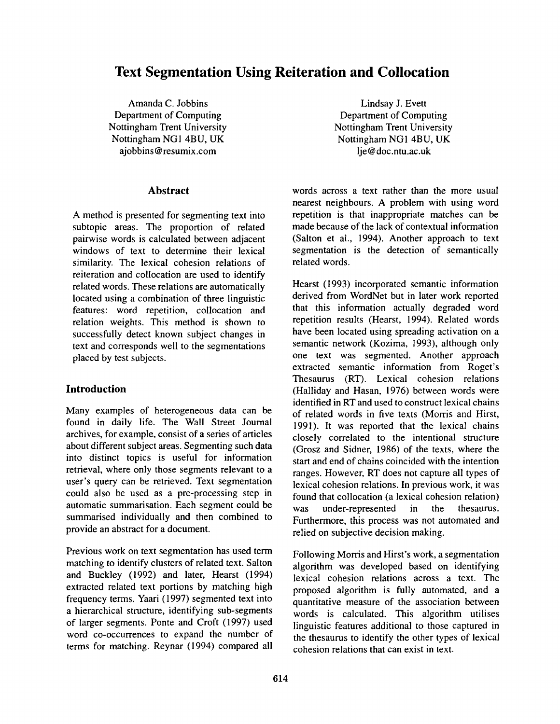# **Text Segmentation Using Reiteration and Collocation**

Amanda C. Jobbins Department of Computing Nottingham Trent University Nottingham NG1 4BU, UK ajobbins @resumix.com

#### **Abstract**

A method is presented for segmenting text into subtopic areas. The proportion of related pairwise words is calculated between adjacent windows of text to determine their lexical similarity. The lexical cohesion relations of reiteration and collocation are used to identify related words. These relations are automatically located using a combination of three linguistic features: word repetition, collocation and relation weights. This method is shown to successfully detect known subject changes in text and corresponds well to the segmentations placed by test subjects.

#### **Introduction**

Many examples of heterogeneous data can be found in daily life. The Wall Street Journal archives, for example, consist of a series of articles about different subject areas. Segmenting such data into distinct topics is useful for information retrieval, where only those segments relevant to a user's query can be retrieved. Text segmentation could also be used as a pre-processing step in automatic summarisation. Each segment could be summarised individually and then combined to provide an abstract for a document.

Previous work on text segmentation has used term matching to identify clusters of related text. Salton and Buckley (1992) and later, Hearst (1994) extracted related text portions by matching high frequency terms. Yaari (1997) segmented text into a hierarchical structure, identifying sub-segments of larger segments. Ponte and Croft (1997) used word co-occurrences to expand the number of terms for matching. Reynar (1994) compared all

Lindsay J. Evett Department of Computing Nottingham Trent University Nottingham NG1 4BU, UK lje@doc.ntu.ac.uk

words across a text rather than the more usual nearest neighbours. A problem with using word repetition is that inappropriate matches can be made because of the lack of contextual information (Salton et al., 1994). Another approach to text segmentation is the detection of semantically related words.

Hearst (1993) incorporated semantic information derived from WordNet but in later work reported that this information actually degraded word repetition results (Hearst, 1994). Related words have been located using spreading activation on a semantic network (Kozima, 1993), although only one text was segmented. Another approach extracted semantic information from Roget's Thesaurus (RT). Lexical cohesion relations (Halliday and Hasan, 1976) between words were identified in RT and used to construct lexical chains of related words in five texts (Morris and Hirst, 1991). It was reported that the lexical chains closely correlated to the intentional structure (Grosz and Sidner, 1986) of the texts, where the start and end of chains coincided with the intention ranges. However, RT does not capture all types of lexical cohesion relations. In previous work, it was found that collocation (a lexical cohesion relation) was under-represented in the thesaurus. Furthermore, this process was not automated and relied on subjective decision making.

Following Morris and Hirst's work, a segmentation algorithm was developed based on identifying lexical cohesion relations across a text. The proposed algorithm is fully automated, and a quantitative measure of the association between words is calculated. This algorithm utilises linguistic features additional to those captured in the thesaurus to identify the other types of lexical cohesion relations that can exist in text.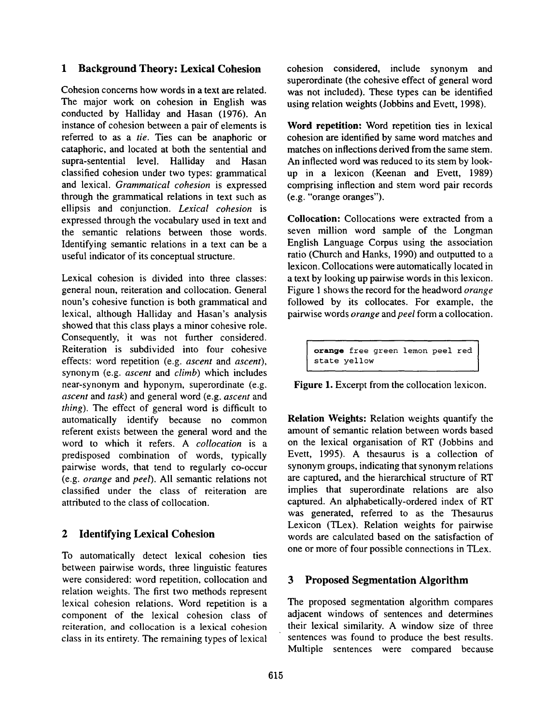#### **1 Background Theory: Lexical Cohesion**

Cohesion concerns how words in a text are related. The major work on cohesion in English was conducted by Halliday and Hasan (1976). An instance of cohesion between a pair of elements is referred to as a *tie.* Ties can be anaphoric or cataphoric, and located at both the sentential and supra-sentential level. Halliday and Hasan classified cohesion under two types: grammatical and lexical. *Grammatical cohesion* is expressed through the grammatical relations in text such as ellipsis and conjunction. *Lexical cohesion* is expressed through the vocabulary used in text and the semantic relations between those words. Identifying semantic relations in a text can be a useful indicator of its conceptual structure.

Lexical cohesion is divided into three classes: general noun, reiteration and collocation. General noun's cohesive function is both grammatical and lexical, although Halliday and Hasan's analysis showed that this class plays a minor cohesive role. Consequently, it was not further considered. Reiteration is subdivided into four cohesive effects: word repetition (e.g. *ascent* and *ascent),*  synonym (e.g. *ascent* and *climb)* which includes near-synonym and hyponym, superordinate (e.g. *ascent* and *task)* and general word (e.g. *ascent* and *thing).* The effect of general word is difficult to automatically identify because no common referent exists between the general word and the word to which it refers. A *collocation* is a predisposed combination of words, typically pairwise words, that tend to regularly co-occur (e.g. *orange* and *peel).* All semantic relations not classified under the class of reiteration are attributed to the class of collocation.

## **2 Identifying Lexical Cohesion**

To automatically detect lexical cohesion ties between pairwise words, three linguistic features were considered: word repetition, collocation and relation weights. The first two methods represent lexical cohesion relations. Word repetition is a component of the lexical cohesion class of reiteration, and collocation is a lexical cohesion class in its entirety. The remaining types of lexical

cohesion considered, include synonym and superordinate (the cohesive effect of general word was not included). These types can be identified using relation weights (Jobbins and Evett, 1998).

**Word repetition:** Word repetition ties in lexical cohesion are identified by same word matches and matches on inflections derived from the same stem. An inflected word was reduced to its stem by lookup in a lexicon (Keenan and Evett, 1989) comprising inflection and stem word pair records (e.g. "orange oranges").

**Collocation:** Collocations were extracted from a seven million word sample of the Longman English Language Corpus using the association ratio (Church and Hanks, 1990) and outputted to a lexicon. Collocations were automatically located in a text by looking up pairwise words in this lexicon. Figure 1 shows the record for the headword *orange*  followed by its collocates. For example, the pairwise words *orange* and *peel* form a collocation.

**I** 

**Figure** 1. Excerpt from the collocation lexicon.

**Relation Weights:** Relation weights quantify the amount of semantic relation between words based on the lexical organisation of RT (Jobbins and Evett, 1995). A thesaurus is a collection of synonym groups, indicating that synonym relations are captured, and the hierarchical structure of RT implies that superordinate relations are also captured. An alphabetically-ordered index of RT was generated, referred to as the Thesaurus Lexicon (TLex). Relation weights for pairwise words are calculated based on the satisfaction of one or more of four possible connections in TLex.

## **3 Proposed Segmentation Algorithm**

The proposed segmentation algorithm compares adjacent windows of sentences and determines their lexical similarity. A window size of three sentences was found to produce the best results. Multiple sentences were compared because

orange free green lemon peel red state yellow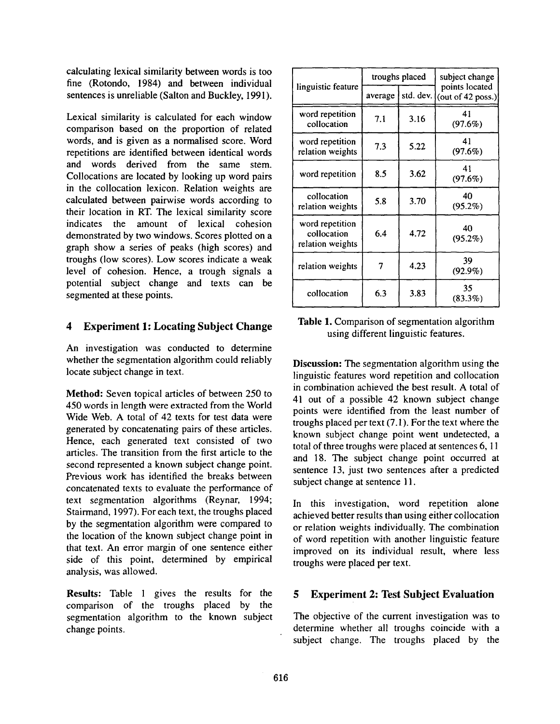calculating lexical similarity between words is too fine (Rotondo, 1984) and between individual sentences is unreliable (Salton and Buckley, 1991).

Lexical similarity is calculated for each window comparison based on the proportion of related words, and is given as a normalised score. Word repetitions are identified between identical words and words derived from the same stem. Collocations are located by looking up word pairs in the collocation lexicon. Relation weights are calculated between pairwise words according to their location in RT. The lexical similarity score indicates the amount of lexical cohesion demonstrated by two windows. Scores plotted on a graph show a series of peaks (high scores) and troughs (low scores). Low scores indicate a weak level of cohesion. Hence, a trough signals a potential subject change and texts can be segmented at these points.

# **4 Experiment 1: Locating Subject Change**

An investigation was conducted to determine whether the segmentation algorithm could reliably locate subject change in text.

**Method:** Seven topical articles of between 250 to 450 words in length were extracted from the World Wide Web. A total of 42 texts for test data were generated by concatenating pairs of these articles. Hence, each generated text consisted of two articles. The transition from the first article to the second represented a known subject change point. Previous work has identified the breaks between concatenated texts to evaluate the performance of text segmentation algorithms (Reynar, 1994; Stairmand, 1997). For each text, the troughs placed by the segmentation algorithm were compared to the location of the known subject change point in that text. An error margin of one sentence either side of this point, determined by empirical analysis, was allowed.

**Results:** Table 1 gives the results for the comparison of the troughs placed by the segmentation algorithm to the known subject change points.

|                                                    | troughs placed |           | subject change                        |  |
|----------------------------------------------------|----------------|-----------|---------------------------------------|--|
| linguistic feature                                 | average        | std. dev. | points located<br>(out of $42$ poss.) |  |
| word repetition<br>collocation                     | 7.1            | 3.16      | 41<br>(97.6%)                         |  |
| word repetition<br>relation weights                | 7.3            | 5.22      | 41<br>(97.6%)                         |  |
| word repetition                                    | 8.5            | 3.62      | 41<br>(97.6%)                         |  |
| collocation<br>relation weights                    | 5.8            | 3.70      | 40<br>$(95.2\%)$                      |  |
| word repetition<br>collocation<br>relation weights | 6.4            | 4.72      | 40<br>$(95.2\%)$                      |  |
| relation weights                                   | 7              | 4.23      | 39<br>$(92.9\%)$                      |  |
| collocation                                        | 6.3            | 3.83      | 35<br>$(83.3\%)$                      |  |

**Table** 1. Comparison of segmentation algorithm using different linguistic features.

**Discussion:** The segmentation algorithm using the linguistic features word repetition and collocation in combination achieved the best result. A total of 41 out of a possible 42 known subject change points were identified from the least number of troughs placed per text (7.1). For the text where the known subject change point went undetected, a total of three troughs were placed at sentences 6, 11 and 18. The subject change point occurred at sentence 13, just two sentences after a predicted subject change at sentence 11.

In this investigation, word repetition alone achieved better results than using either collocation or relation weights individually. The combination of word repetition with another linguistic feature improved on its individual result, where less troughs were placed per text.

## **5 Experiment 2: Test Subject Evaluation**

The objective of the current investigation was to determine whether all troughs coincide with a subject change. The troughs placed by the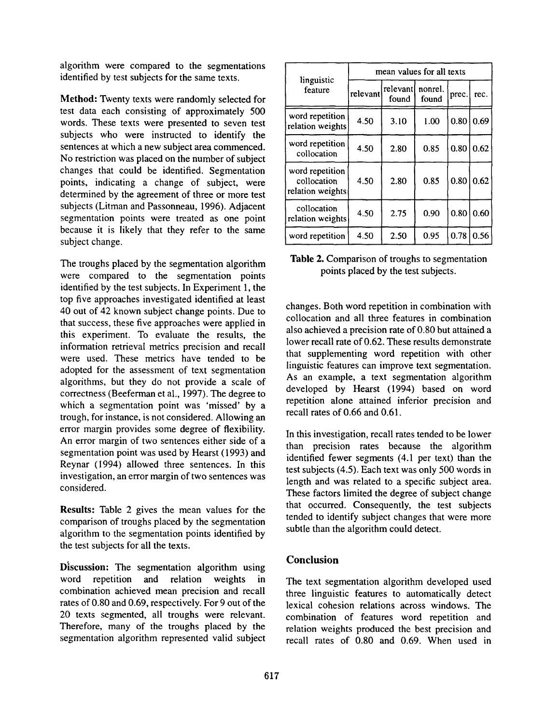algorithm were compared to the segmentations identified by test subjects for the same texts.

Method: Twenty texts were randomly selected for test data each consisting of approximately 500 words. These texts were presented to seven test subjects who were instructed to identify the sentences at which a new subject area commenced. No restriction was placed on the number of subject changes that could be identified. Segmentation points, indicating a change of subject, were determined by the agreement of three or more test subjects (Litman and Passonneau, 1996). Adjacent segmentation points were treated as one point because it is likely that they refer to the same subject change.

The troughs placed by the segmentation algorithm were compared to the segmentation points identified by the test subjects. In Experiment 1, the top five approaches investigated identified at least 40 out of 42 known subject change points. Due to that success, these five approaches were applied in this experiment. To evaluate the results, the information retrieval metrics precision and recall were used. These metrics have tended to be adopted for the assessment of text segmentation algorithms, but they do not provide a scale of correctness (Beeferman et al., 1997). The degree to which a segmentation point was 'missed' by a trough, for instance, is not considered. Allowing an error margin provides some degree of flexibility. An error margin of two sentences either side of a segmentation point was used by Hearst (1993) and Reynar (1994) allowed three sentences. In this investigation, an error margin of two sentences was considered.

Results: Table 2 gives the mean values for the comparison of troughs placed by the segmentation algorithm to the segmentation points identified by the test subjects for all the texts.

Discussion: The segmentation algorithm using word repetition and relation weights in combination achieved mean precision and recall rates of 0.80 and 0.69, respectively. For 9 out of the 20 texts segmented, all troughs were relevant. Therefore, many of the troughs placed by the segmentation algorithm represented valid subject

| linguistic<br>feature                              | mean values for all texts |                   |                  |       |      |  |  |
|----------------------------------------------------|---------------------------|-------------------|------------------|-------|------|--|--|
|                                                    | relevant                  | relevant<br>found | nonrel.<br>found | prec. | rec. |  |  |
| word repetition<br>relation weights                | 4.50                      | 3.10              | 1.00             | 0.80  | 0.69 |  |  |
| word repetition<br>collocation                     | 4.50                      | 2.80              | 0.85             | 0.80  | 0.62 |  |  |
| word repetition<br>collocation<br>relation weights | 4.50                      | 2.80              | 0.85             | 0.80  | 0.62 |  |  |
| collocation<br>relation weights                    | 4.50                      | 2.75              | 0.90             | 0.80  | 0.60 |  |  |
| word repetition                                    | 4.50                      | 2.50              | 0.95             | 0.78  | 0.56 |  |  |

Table 2. Comparison of troughs to segmentation points placed by the test subjects.

changes. Both word repetition in combination with collocation and all three features in combination also achieved a precision rate of 0.80 but attained a lower recall rate of 0.62. These results demonstrate that supplementing word repetition with other linguistic features can improve text segmentation. As an example, a text segmentation algorithm developed by Hearst (1994) based on word repetition alone attained inferior precision and recall rates of 0.66 and 0.61.

In this investigation, recall rates tended to be lower than precision rates because the algorithm identified fewer segments (4.1 per text) than the test subjects (4.5). Each text was only 500 words in length and was related to a specific subject area. These factors limited the degree of subject change that occurred. Consequently, the test subjects tended to identify subject changes that were more subtle than the algorithm could detect.

#### **Conclusion**

The text segmentation algorithm developed used three linguistic features to automatically detect lexical cohesion relations across windows. The combination of features word repetition and relation weights produced the best precision and recall rates of 0.80 and 0.69. When used in